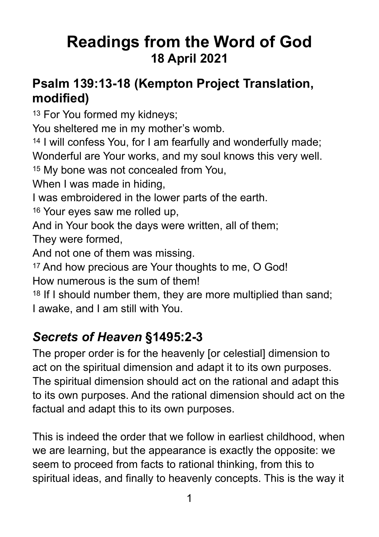# **Readings from the Word of God 18 April 2021**

#### **Psalm 139:13-18 (Kempton Project Translation, modified)**

13 For You formed my kidneys;

You sheltered me in my mother's womb.

14 I will confess You, for I am fearfully and wonderfully made; Wonderful are Your works, and my soul knows this very well.

15 My bone was not concealed from You,

When I was made in hiding,

I was embroidered in the lower parts of the earth.

16 Your eyes saw me rolled up,

And in Your book the days were written, all of them;

They were formed,

And not one of them was missing.

17 And how precious are Your thoughts to me, O God!

How numerous is the sum of them!

18 If I should number them, they are more multiplied than sand; I awake, and I am still with You.

#### *Secrets of Heaven* **§1495:2-3**

The proper order is for the heavenly [or celestial] dimension to act on the spiritual dimension and adapt it to its own purposes. The spiritual dimension should act on the rational and adapt this to its own purposes. And the rational dimension should act on the factual and adapt this to its own purposes.

This is indeed the order that we follow in earliest childhood, when we are learning, but the appearance is exactly the opposite: we seem to proceed from facts to rational thinking, from this to spiritual ideas, and finally to heavenly concepts. This is the way it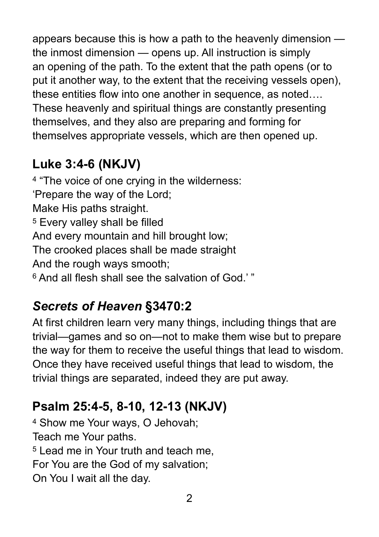appears because this is how a path to the heavenly dimension the inmost dimension — opens up. All instruction is simply an opening of the path. To the extent that the path opens (or to put it another way, to the extent that the receiving vessels open), these entities flow into one another in sequence, as noted…. These heavenly and spiritual things are constantly presenting themselves, and they also are preparing and forming for themselves appropriate vessels, which are then opened up.

### **Luke 3:4-6 (NKJV)**

4 "The voice of one crying in the wilderness: 'Prepare the way of the Lord; Make His paths straight. 5 Every valley shall be filled And every mountain and hill brought low; The crooked places shall be made straight And the rough ways smooth; 6 And all flesh shall see the salvation of God.' "

### *Secrets of Heaven* **§3470:2**

At first children learn very many things, including things that are trivial—games and so on—not to make them wise but to prepare the way for them to receive the useful things that lead to wisdom. Once they have received useful things that lead to wisdom, the trivial things are separated, indeed they are put away.

## **Psalm 25:4-5, 8-10, 12-13 (NKJV)**

4 Show me Your ways, O Jehovah; Teach me Your paths. 5 Lead me in Your truth and teach me, For You are the God of my salvation; On You I wait all the day.